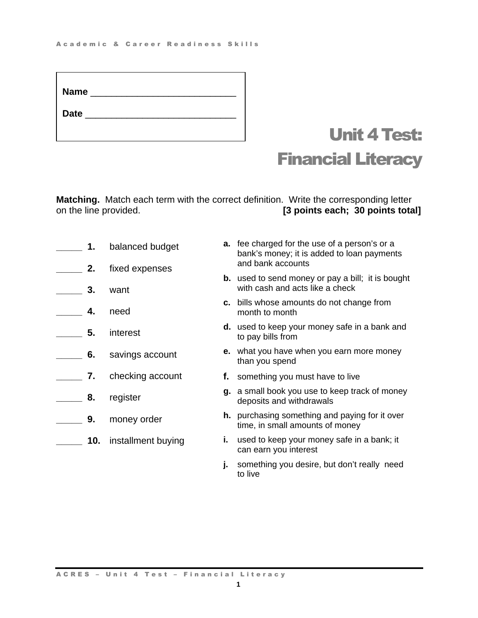| <b>Name</b> | <u> 1980 - Jan Barbarat, prima prima prima prima prima prima prima prima prima prima prima prima prima prima pri</u> |  |  |
|-------------|----------------------------------------------------------------------------------------------------------------------|--|--|
| Date ____   |                                                                                                                      |  |  |
|             |                                                                                                                      |  |  |

# Unit 4 Test: Financial Literacy

**Matching.** Match each term with the correct definition. Write the corresponding letter<br>on the line provided. [3 points each; 30 points tota [3 points each; 30 points total]

| 1.  | balanced budget    |    | <b>a.</b> fee charged for the use of a person's or a<br>bank's money; it is added to loan payments<br>and bank accounts |
|-----|--------------------|----|-------------------------------------------------------------------------------------------------------------------------|
| 2.  | fixed expenses     |    | <b>b.</b> used to send money or pay a bill; it is bought                                                                |
| 3.  | want               |    | with cash and acts like a check                                                                                         |
| 4.  | need               |    | c. bills whose amounts do not change from<br>month to month                                                             |
| 5.  | interest           |    | <b>d.</b> used to keep your money safe in a bank and<br>to pay bills from                                               |
| 6.  | savings account    |    | e. what you have when you earn more money<br>than you spend                                                             |
| 7.  | checking account   |    | f. something you must have to live                                                                                      |
| 8.  | register           |    | g. a small book you use to keep track of money<br>deposits and withdrawals                                              |
| 9.  | money order        |    | <b>h.</b> purchasing something and paying for it over<br>time, in small amounts of money                                |
| 10. | installment buying | i. | used to keep your money safe in a bank; it<br>can earn you interest                                                     |

**j.** something you desire, but don't really need to live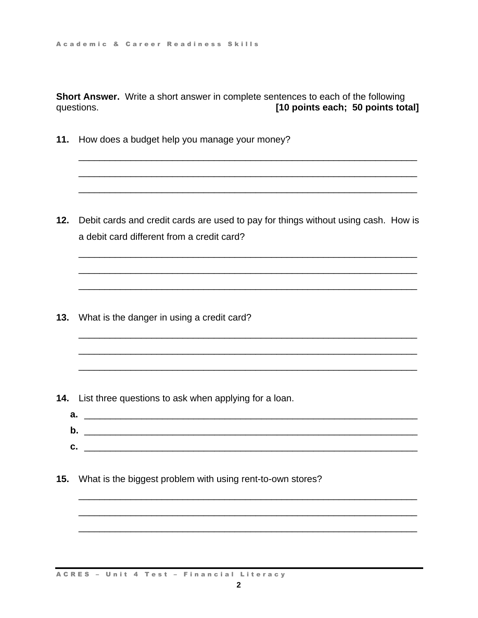**Short Answer.** Write a short answer in complete sentences to each of the following questions. **[10 points each; 50 points total]** 

\_\_\_\_\_\_\_\_\_\_\_\_\_\_\_\_\_\_\_\_\_\_\_\_\_\_\_\_\_\_\_\_\_\_\_\_\_\_\_\_\_\_\_\_\_\_\_\_\_\_\_\_\_\_\_\_\_\_\_\_\_\_\_\_\_

\_\_\_\_\_\_\_\_\_\_\_\_\_\_\_\_\_\_\_\_\_\_\_\_\_\_\_\_\_\_\_\_\_\_\_\_\_\_\_\_\_\_\_\_\_\_\_\_\_\_\_\_\_\_\_\_\_\_\_\_\_\_\_\_\_

\_\_\_\_\_\_\_\_\_\_\_\_\_\_\_\_\_\_\_\_\_\_\_\_\_\_\_\_\_\_\_\_\_\_\_\_\_\_\_\_\_\_\_\_\_\_\_\_\_\_\_\_\_\_\_\_\_\_\_\_\_\_\_\_\_

\_\_\_\_\_\_\_\_\_\_\_\_\_\_\_\_\_\_\_\_\_\_\_\_\_\_\_\_\_\_\_\_\_\_\_\_\_\_\_\_\_\_\_\_\_\_\_\_\_\_\_\_\_\_\_\_\_\_\_\_\_\_\_\_\_

\_\_\_\_\_\_\_\_\_\_\_\_\_\_\_\_\_\_\_\_\_\_\_\_\_\_\_\_\_\_\_\_\_\_\_\_\_\_\_\_\_\_\_\_\_\_\_\_\_\_\_\_\_\_\_\_\_\_\_\_\_\_\_\_\_

\_\_\_\_\_\_\_\_\_\_\_\_\_\_\_\_\_\_\_\_\_\_\_\_\_\_\_\_\_\_\_\_\_\_\_\_\_\_\_\_\_\_\_\_\_\_\_\_\_\_\_\_\_\_\_\_\_\_\_\_\_\_\_\_\_

\_\_\_\_\_\_\_\_\_\_\_\_\_\_\_\_\_\_\_\_\_\_\_\_\_\_\_\_\_\_\_\_\_\_\_\_\_\_\_\_\_\_\_\_\_\_\_\_\_\_\_\_\_\_\_\_\_\_\_\_\_\_\_\_\_

\_\_\_\_\_\_\_\_\_\_\_\_\_\_\_\_\_\_\_\_\_\_\_\_\_\_\_\_\_\_\_\_\_\_\_\_\_\_\_\_\_\_\_\_\_\_\_\_\_\_\_\_\_\_\_\_\_\_\_\_\_\_\_\_\_

\_\_\_\_\_\_\_\_\_\_\_\_\_\_\_\_\_\_\_\_\_\_\_\_\_\_\_\_\_\_\_\_\_\_\_\_\_\_\_\_\_\_\_\_\_\_\_\_\_\_\_\_\_\_\_\_\_\_\_\_\_\_\_\_\_

**11.** How does a budget help you manage your money?

**12.** Debit cards and credit cards are used to pay for things without using cash. How is a debit card different from a credit card?

**13.** What is the danger in using a credit card?

- **14.** List three questions to ask when applying for a loan.
	- **a.** \_\_\_\_\_\_\_\_\_\_\_\_\_\_\_\_\_\_\_\_\_\_\_\_\_\_\_\_\_\_\_\_\_\_\_\_\_\_\_\_\_\_\_\_\_\_\_\_\_\_\_\_\_\_\_\_\_\_\_\_\_\_\_\_ **b.** \_\_\_\_\_\_\_\_\_\_\_\_\_\_\_\_\_\_\_\_\_\_\_\_\_\_\_\_\_\_\_\_\_\_\_\_\_\_\_\_\_\_\_\_\_\_\_\_\_\_\_\_\_\_\_\_\_\_\_\_\_\_\_\_ **c.** \_\_\_\_\_\_\_\_\_\_\_\_\_\_\_\_\_\_\_\_\_\_\_\_\_\_\_\_\_\_\_\_\_\_\_\_\_\_\_\_\_\_\_\_\_\_\_\_\_\_\_\_\_\_\_\_\_\_\_\_\_\_\_\_

\_\_\_\_\_\_\_\_\_\_\_\_\_\_\_\_\_\_\_\_\_\_\_\_\_\_\_\_\_\_\_\_\_\_\_\_\_\_\_\_\_\_\_\_\_\_\_\_\_\_\_\_\_\_\_\_\_\_\_\_\_\_\_\_\_

\_\_\_\_\_\_\_\_\_\_\_\_\_\_\_\_\_\_\_\_\_\_\_\_\_\_\_\_\_\_\_\_\_\_\_\_\_\_\_\_\_\_\_\_\_\_\_\_\_\_\_\_\_\_\_\_\_\_\_\_\_\_\_\_\_

\_\_\_\_\_\_\_\_\_\_\_\_\_\_\_\_\_\_\_\_\_\_\_\_\_\_\_\_\_\_\_\_\_\_\_\_\_\_\_\_\_\_\_\_\_\_\_\_\_\_\_\_\_\_\_\_\_\_\_\_\_\_\_\_\_

**15.** What is the biggest problem with using rent-to-own stores?

ACRES – Unit 4 Test – Financial Literacy

**2**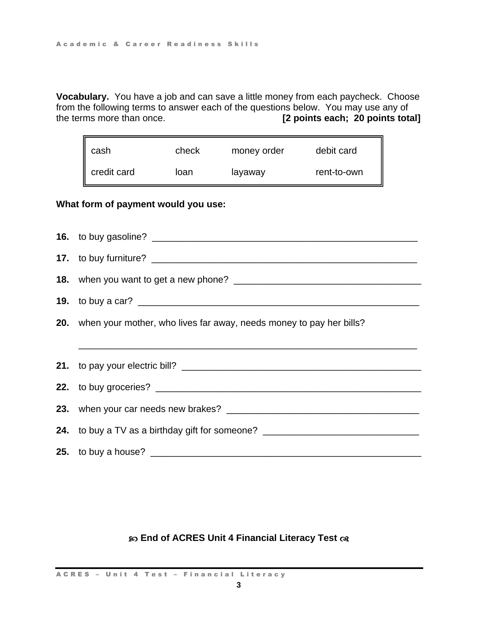**Vocabulary.** You have a job and can save a little money from each paycheck. Choose from the following terms to answer each of the questions below. You may use any of the terms more than once. **[2 points each; 20 points total]**

| cash        | check | money order | debit card  |
|-------------|-------|-------------|-------------|
| credit card | loan  | layaway     | rent-to-own |

### **What form of payment would you use:**

**16.** to buy gasoline? **17.** to buy furniture? **18.** when you want to get a new phone? \_\_\_\_\_\_\_\_\_\_\_\_\_\_\_\_\_\_\_\_\_\_\_\_\_\_\_\_\_\_\_\_\_\_\_\_ **19.** to buy a car? **20.** when your mother, who lives far away, needs money to pay her bills? \_\_\_\_\_\_\_\_\_\_\_\_\_\_\_\_\_\_\_\_\_\_\_\_\_\_\_\_\_\_\_\_\_\_\_\_\_\_\_\_\_\_\_\_\_\_\_\_\_\_\_\_\_\_\_\_\_\_\_\_\_\_\_\_\_ **21.** to pay your electric bill? \_\_\_\_\_\_\_\_\_\_\_\_\_\_\_\_\_\_\_\_\_\_\_\_\_\_\_\_\_\_\_\_\_\_\_\_\_\_\_\_\_\_\_\_\_\_ **22.** to buy groceries? \_\_\_\_\_\_\_\_\_\_\_\_\_\_\_\_\_\_\_\_\_\_\_\_\_\_\_\_\_\_\_\_\_\_\_\_\_\_\_\_\_\_\_\_\_\_\_\_\_\_\_ **23.** when your car needs new brakes? **24.** to buy a TV as a birthday gift for someone? \_\_\_\_\_\_\_\_\_\_\_\_\_\_\_\_\_\_\_\_\_\_\_\_\_\_\_\_\_\_\_ **25.** to buy a house? \_\_\_\_\_\_\_\_\_\_\_\_\_\_\_\_\_\_\_\_\_\_\_\_\_\_\_\_\_\_\_\_\_\_\_\_\_\_\_\_\_\_\_\_\_\_\_\_\_\_\_\_

### **End of ACRES Unit 4 Financial Literacy Test**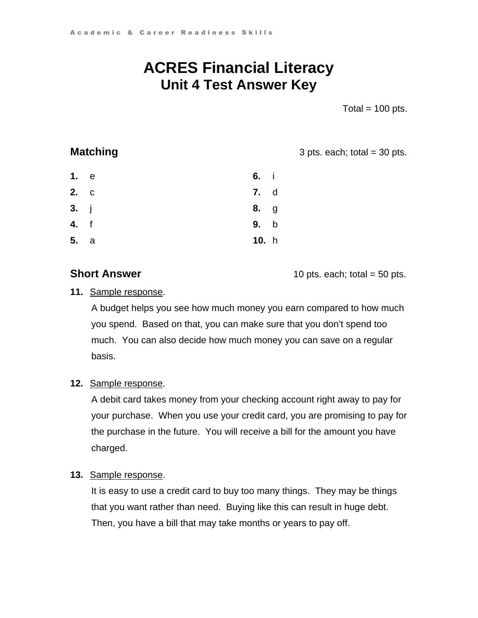## **ACRES Financial Literacy Unit 4 Test Answer Key**

Total  $= 100$  pts.

**Matching 3** pts. each; total = 30 pts.

| 1. e        | 6. i        |  |
|-------------|-------------|--|
| 2. c        | <b>7.</b> d |  |
| 3. j        | <b>8.</b> g |  |
| <b>4.</b> f | 9. b        |  |
| 5. a        | 10. h       |  |

**Short Answer 10 pts. each; total = 50 pts.** 

### **11.** Sample response.

A budget helps you see how much money you earn compared to how much you spend. Based on that, you can make sure that you don't spend too much. You can also decide how much money you can save on a regular basis.

### **12.** Sample response.

A debit card takes money from your checking account right away to pay for your purchase. When you use your credit card, you are promising to pay for the purchase in the future. You will receive a bill for the amount you have charged.

### **13.** Sample response.

It is easy to use a credit card to buy too many things. They may be things that you want rather than need. Buying like this can result in huge debt. Then, you have a bill that may take months or years to pay off.